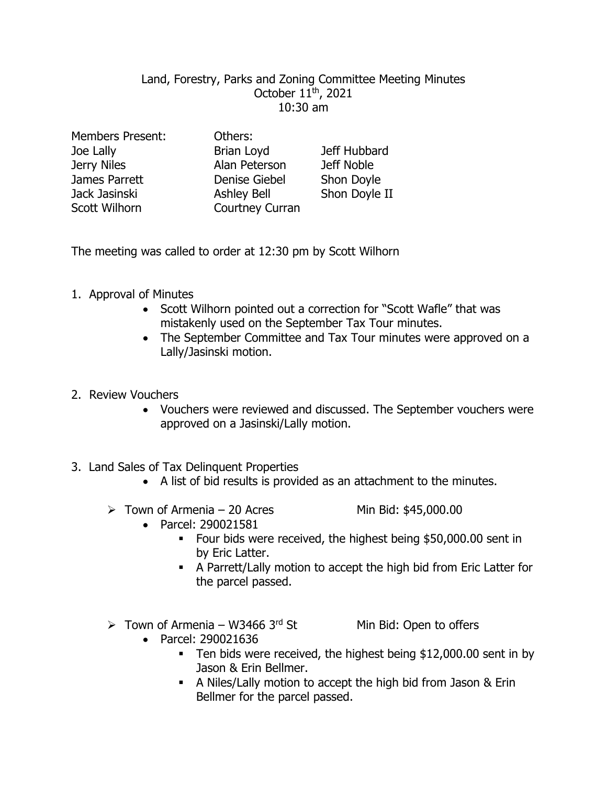## Land, Forestry, Parks and Zoning Committee Meeting Minutes October 11 th, 2021 10:30 am

| <b>Members Present:</b> | Others:              |               |
|-------------------------|----------------------|---------------|
| Joe Lally               | Brian Loyd           | Jeff Hubbard  |
| Jerry Niles             | Alan Peterson        | Jeff Noble    |
| James Parrett           | <b>Denise Giebel</b> | Shon Doyle    |
| Jack Jasinski           | <b>Ashley Bell</b>   | Shon Doyle II |
| Scott Wilhorn           | Courtney Curran      |               |

The meeting was called to order at 12:30 pm by Scott Wilhorn

- 1. Approval of Minutes
	- Scott Wilhorn pointed out a correction for "Scott Wafle" that was mistakenly used on the September Tax Tour minutes.
	- The September Committee and Tax Tour minutes were approved on a Lally/Jasinski motion.
- 2. Review Vouchers
	- Vouchers were reviewed and discussed. The September vouchers were approved on a Jasinski/Lally motion.
- 3. Land Sales of Tax Delinquent Properties
	- A list of bid results is provided as an attachment to the minutes.
	- $\triangleright$  Town of Armenia 20 Acres Min Bid: \$45,000.00

- Parcel: 290021581
	- Four bids were received, the highest being \$50,000.00 sent in by Eric Latter.
	- A Parrett/Lally motion to accept the high bid from Eric Latter for the parcel passed.
- $\triangleright$  Town of Armenia W3466 3rd St Min Bid: Open to offers

- Parcel: 290021636
	- Ten bids were received, the highest being \$12,000.00 sent in by Jason & Erin Bellmer.
	- A Niles/Lally motion to accept the high bid from Jason & Erin Bellmer for the parcel passed.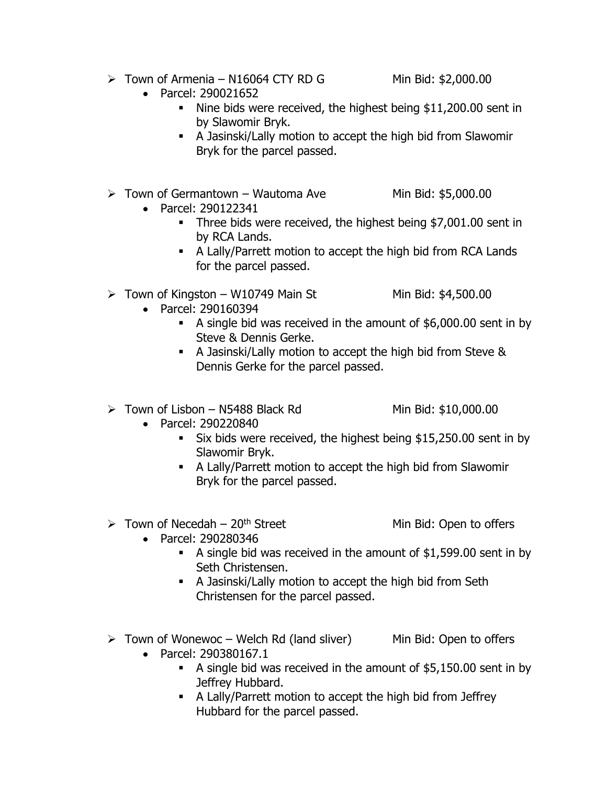- $\triangleright$  Town of Armenia N16064 CTY RD G Min Bid: \$2,000.00
	- Parcel: 290021652
		- Nine bids were received, the highest being \$11,200.00 sent in by Slawomir Bryk.
		- A Jasinski/Lally motion to accept the high bid from Slawomir Bryk for the parcel passed.
- $\triangleright$  Town of Germantown Wautoma Ave Min Bid: \$5,000.00
	- Parcel: 290122341
		- Three bids were received, the highest being \$7,001.00 sent in by RCA Lands.
		- A Lally/Parrett motion to accept the high bid from RCA Lands for the parcel passed.
- $\triangleright$  Town of Kingston W10749 Main St Min Bid: \$4,500.00
	- Parcel: 290160394
		- A single bid was received in the amount of \$6,000.00 sent in by Steve & Dennis Gerke.
		- A Jasinski/Lally motion to accept the high bid from Steve & Dennis Gerke for the parcel passed.
- $\triangleright$  Town of Lisbon N5488 Black Rd Min Bid: \$10,000.00
	-
- Parcel: 290220840
	- Six bids were received, the highest being \$15,250.00 sent in by Slawomir Bryk.
	- A Lally/Parrett motion to accept the high bid from Slawomir Bryk for the parcel passed.
- $\triangleright$  Town of Necedah 20<sup>th</sup> Street Min Bid: Open to offers
	- Parcel: 290280346
		- A single bid was received in the amount of \$1,599.00 sent in by Seth Christensen.
		- A Jasinski/Lally motion to accept the high bid from Seth Christensen for the parcel passed.
- $\triangleright$  Town of Wonewoc Welch Rd (land sliver) Min Bid: Open to offers
	- Parcel: 290380167.1
		- A single bid was received in the amount of \$5,150.00 sent in by Jeffrey Hubbard.
		- A Lally/Parrett motion to accept the high bid from Jeffrey Hubbard for the parcel passed.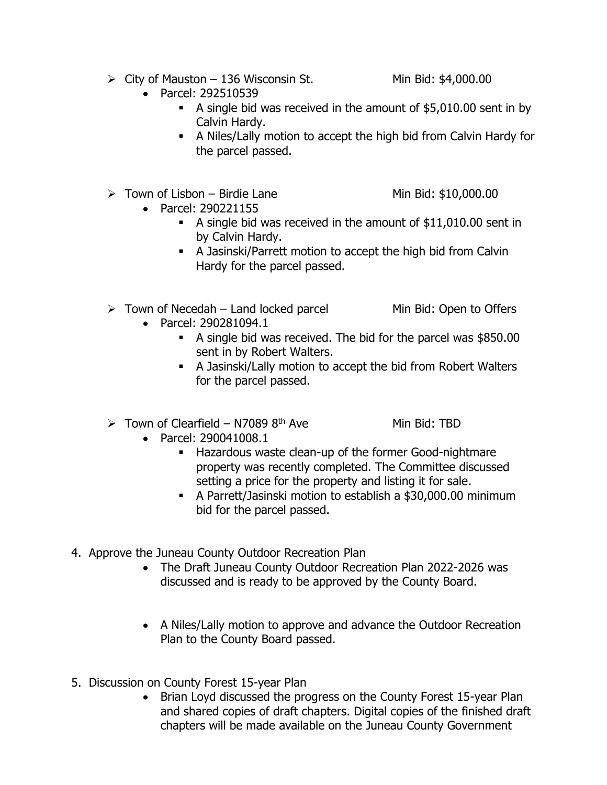- $\triangleright$  City of Mauston 136 Wisconsin St. Min Bid: \$4,000.00
	- Parcel: 292510539
		- A single bid was received in the amount of \$5,010.00 sent in by Calvin Hardy.
		- A Niles/Lally motion to accept the high bid from Calvin Hardy for the parcel passed.
- $\triangleright$  Town of Lisbon Birdie Lane Min Bid: \$10,000.00
	-
- Parcel: 290221155
	- A single bid was received in the amount of \$11,010.00 sent in by Calvin Hardy.
	- A Jasinski/Parrett motion to accept the high bid from Calvin Hardy for the parcel passed.
- $\triangleright$  Town of Necedah Land locked parcel Min Bid: Open to Offers
	- Parcel: 290281094.1
		- A single bid was received. The bid for the parcel was \$850.00 sent in by Robert Walters.
		- A Jasinski/Lally motion to accept the bid from Robert Walters for the parcel passed.
- $\triangleright$  Town of Clearfield N7089 8<sup>th</sup> Ave Min Bid: TBD

- Parcel: 290041008.1
	- Hazardous waste clean-up of the former Good-nightmare property was recently completed. The Committee discussed setting a price for the property and listing it for sale.
	- A Parrett/Jasinski motion to establish a \$30,000.00 minimum bid for the parcel passed.
- 4. Approve the Juneau County Outdoor Recreation Plan
	- The Draft Juneau County Outdoor Recreation Plan 2022-2026 was discussed and is ready to be approved by the County Board.
	- A Niles/Lally motion to approve and advance the Outdoor Recreation Plan to the County Board passed.
- 5. Discussion on County Forest 15-year Plan
	- Brian Loyd discussed the progress on the County Forest 15-year Plan and shared copies of draft chapters. Digital copies of the finished draft chapters will be made available on the Juneau County Government